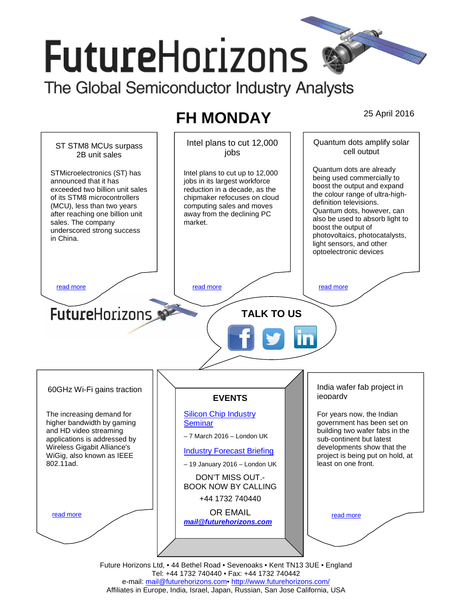# **FutureHorizons**

The Global Semiconductor Industry Analysts

## **FH MONDAY** 25 April 2016



e-mail: mail@futurehorizons.com• http://www.futurehorizons.com/ Affiliates in Europe, India, Israel, Japan, Russian, San Jose California, USA